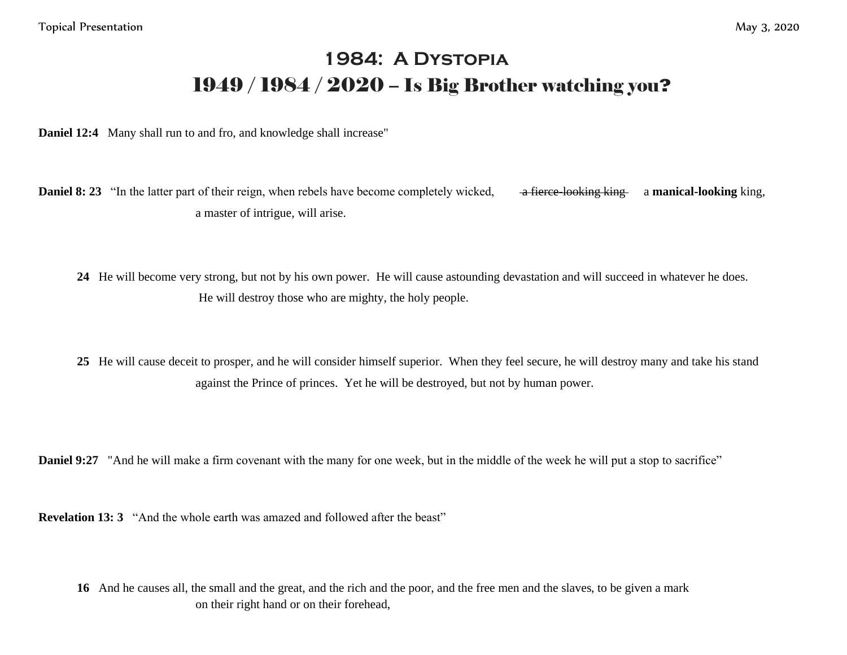## **1984: A Dystopia** 1949 / 1984 / 2020 – Is Big Brother watching you**?**

**Daniel 12:4** Many shall run to and fro, and knowledge shall increase"

**Daniel 8: 23** "In the latter part of their reign, when rebels have become completely wicked, a fierce looking king a manical-looking king, a master of intrigue, will arise.

**24** He will become very strong, but not by his own power. He will cause astounding devastation and will succeed in whatever he does. He will destroy those who are mighty, the holy people.

**25** He will cause deceit to prosper, and he will consider himself superior. When they feel secure, he will destroy many and take his stand against the Prince of princes. Yet he will be destroyed, but not by human power.

**Daniel 9:27** "And he will make a firm covenant with the many for one week, but in the middle of the week he will put a stop to sacrifice"

**Revelation 13: 3** "And the whole earth was amazed and followed after the beast"

**16** And he causes all, the small and the great, and the rich and the poor, and the free men and the slaves, to be given a mark on their right hand or on their forehead,